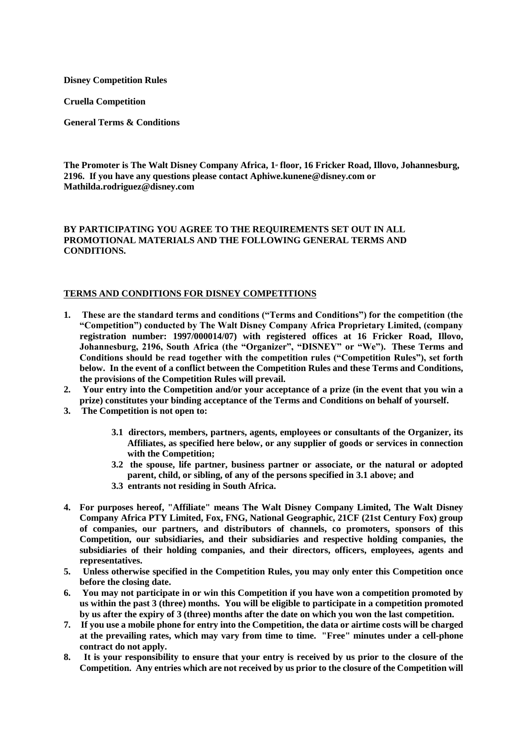**Disney Competition Rules**

**Cruella Competition**

**General Terms & Conditions**

The Promoter is The Walt Disney Company Africa, 1<sup>*s*</sup> floor, 16 Fricker Road, Illovo, Johannesburg, **2196. If you have any questions please contact Aphiwe.kunene@disney.com or Mathilda.rodriguez@disney.com**

## **BY PARTICIPATING YOU AGREE TO THE REQUIREMENTS SET OUT IN ALL PROMOTIONAL MATERIALS AND THE FOLLOWING GENERAL TERMS AND CONDITIONS.**

## **TERMS AND CONDITIONS FOR DISNEY COMPETITIONS**

- **1. These are the standard terms and conditions ("Terms and Conditions") for the competition (the "Competition") conducted by The Walt Disney Company Africa Proprietary Limited, (company registration number: 1997/000014/07) with registered offices at 16 Fricker Road, Illovo, Johannesburg, 2196, South Africa (the "Organizer", "DISNEY" or "We"). These Terms and Conditions should be read together with the competition rules ("Competition Rules"), set forth below. In the event of a conflict between the Competition Rules and these Terms and Conditions, the provisions of the Competition Rules will prevail.**
- **2. Your entry into the Competition and/or your acceptance of a prize (in the event that you win a prize) constitutes your binding acceptance of the Terms and Conditions on behalf of yourself.**
- **3. The Competition is not open to:**
	- **3.1 directors, members, partners, agents, employees or consultants of the Organizer, its Affiliates, as specified here below, or any supplier of goods or services in connection with the Competition;**
	- **3.2 the spouse, life partner, business partner or associate, or the natural or adopted parent, child, or sibling, of any of the persons specified in 3.1 above; and**
	- **3.3 entrants not residing in South Africa.**
- **4. For purposes hereof, "Affiliate" means The Walt Disney Company Limited, The Walt Disney Company Africa PTY Limited, Fox, FNG, National Geographic, 21CF (21st Century Fox) group of companies, our partners, and distributors of channels, co promoters, sponsors of this Competition, our subsidiaries, and their subsidiaries and respective holding companies, the subsidiaries of their holding companies, and their directors, officers, employees, agents and representatives.**
- **5. Unless otherwise specified in the Competition Rules, you may only enter this Competition once before the closing date.**
- **6. You may not participate in or win this Competition if you have won a competition promoted by us within the past 3 (three) months. You will be eligible to participate in a competition promoted by us after the expiry of 3 (three) months after the date on which you won the last competition.**
- **7. If you use a mobile phone for entry into the Competition, the data or airtime costs will be charged at the prevailing rates, which may vary from time to time. "Free" minutes under a cell-phone contract do not apply.**
- **8. It is your responsibility to ensure that your entry is received by us prior to the closure of the Competition. Any entries which are not received by us prior to the closure of the Competition will**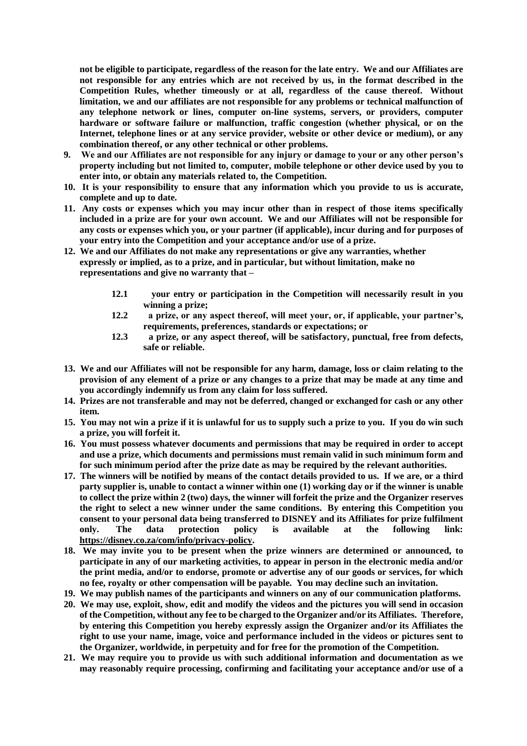**not be eligible to participate, regardless of the reason for the late entry. We and our Affiliates are not responsible for any entries which are not received by us, in the format described in the Competition Rules, whether timeously or at all, regardless of the cause thereof. Without limitation, we and our affiliates are not responsible for any problems or technical malfunction of any telephone network or lines, computer on-line systems, servers, or providers, computer hardware or software failure or malfunction, traffic congestion (whether physical, or on the Internet, telephone lines or at any service provider, website or other device or medium), or any combination thereof, or any other technical or other problems.**

- **9. We and our Affiliates are not responsible for any injury or damage to your or any other person's property including but not limited to, computer, mobile telephone or other device used by you to enter into, or obtain any materials related to, the Competition.**
- **10. It is your responsibility to ensure that any information which you provide to us is accurate, complete and up to date.**
- **11. Any costs or expenses which you may incur other than in respect of those items specifically included in a prize are for your own account. We and our Affiliates will not be responsible for any costs or expenses which you, or your partner (if applicable), incur during and for purposes of your entry into the Competition and your acceptance and/or use of a prize.**
- **12. We and our Affiliates do not make any representations or give any warranties, whether expressly or implied, as to a prize, and in particular, but without limitation, make no representations and give no warranty that –**
	- **12.1 your entry or participation in the Competition will necessarily result in you winning a prize;**
	- **12.2 a prize, or any aspect thereof, will meet your, or, if applicable, your partner's, requirements, preferences, standards or expectations; or**
	- **12.3 a prize, or any aspect thereof, will be satisfactory, punctual, free from defects, safe or reliable.**
- **13. We and our Affiliates will not be responsible for any harm, damage, loss or claim relating to the provision of any element of a prize or any changes to a prize that may be made at any time and you accordingly indemnify us from any claim for loss suffered.**
- **14. Prizes are not transferable and may not be deferred, changed or exchanged for cash or any other item.**
- **15. You may not win a prize if it is unlawful for us to supply such a prize to you. If you do win such a prize, you will forfeit it.**
- **16. You must possess whatever documents and permissions that may be required in order to accept and use a prize, which documents and permissions must remain valid in such minimum form and for such minimum period after the prize date as may be required by the relevant authorities.**
- **17. The winners will be notified by means of the contact details provided to us. If we are, or a third party supplier is, unable to contact a winner within one (1) working day or if the winner is unable to collect the prize within 2 (two) days, the winner will forfeit the prize and the Organizer reserves the right to select a new winner under the same conditions. By entering this Competition you consent to your personal data being transferred to DISNEY and its Affiliates for prize fulfilment only. The data protection policy is available at the following link[:](https://disney.co.za/com/info/privacy-policy) [https://disney.co.za/com/info/privacy-policy.](https://disney.co.za/com/info/privacy-policy)**
- **18. We may invite you to be present when the prize winners are determined or announced, to participate in any of our marketing activities, to appear in person in the electronic media and/or the print media, and/or to endorse, promote or advertise any of our goods or services, for which no fee, royalty or other compensation will be payable. You may decline such an invitation.**
- **19. We may publish names of the participants and winners on any of our communication platforms.**
- **20. We may use, exploit, show, edit and modify the videos and the pictures you will send in occasion of the Competition, without any fee to be charged to the Organizer and/or its Affiliates. Therefore, by entering this Competition you hereby expressly assign the Organizer and/or its Affiliates the right to use your name, image, voice and performance included in the videos or pictures sent to the Organizer, worldwide, in perpetuity and for free for the promotion of the Competition.**
- **21. We may require you to provide us with such additional information and documentation as we may reasonably require processing, confirming and facilitating your acceptance and/or use of a**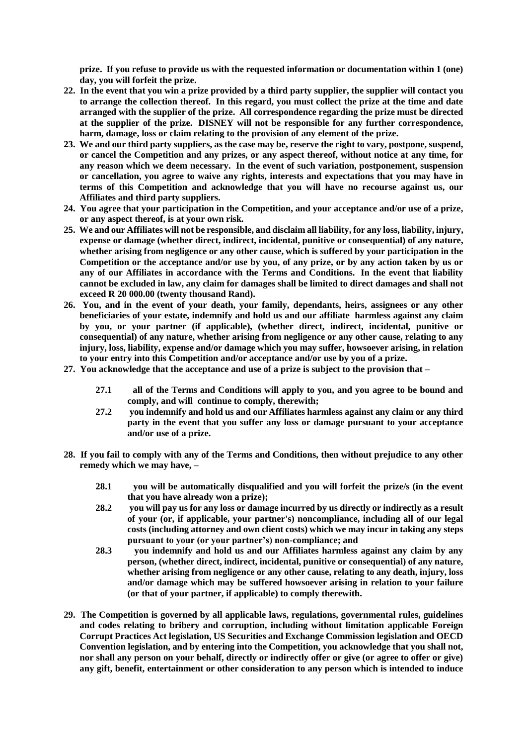**prize. If you refuse to provide us with the requested information or documentation within 1 (one) day, you will forfeit the prize.**

- **22. In the event that you win a prize provided by a third party supplier, the supplier will contact you to arrange the collection thereof. In this regard, you must collect the prize at the time and date arranged with the supplier of the prize. All correspondence regarding the prize must be directed at the supplier of the prize. DISNEY will not be responsible for any further correspondence, harm, damage, loss or claim relating to the provision of any element of the prize.**
- **23. We and our third party suppliers, as the case may be, reserve the right to vary, postpone, suspend, or cancel the Competition and any prizes, or any aspect thereof, without notice at any time, for any reason which we deem necessary. In the event of such variation, postponement, suspension or cancellation, you agree to waive any rights, interests and expectations that you may have in terms of this Competition and acknowledge that you will have no recourse against us, our Affiliates and third party suppliers.**
- **24. You agree that your participation in the Competition, and your acceptance and/or use of a prize, or any aspect thereof, is at your own risk.**
- **25. We and our Affiliates will not be responsible, and disclaim all liability, for any loss, liability, injury, expense or damage (whether direct, indirect, incidental, punitive or consequential) of any nature, whether arising from negligence or any other cause, which is suffered by your participation in the Competition or the acceptance and/or use by you, of any prize, or by any action taken by us or any of our Affiliates in accordance with the Terms and Conditions. In the event that liability cannot be excluded in law, any claim for damages shall be limited to direct damages and shall not exceed R 20 000.00 (twenty thousand Rand).**
- **26. You, and in the event of your death, your family, dependants, heirs, assignees or any other beneficiaries of your estate, indemnify and hold us and our affiliate harmless against any claim by you, or your partner (if applicable), (whether direct, indirect, incidental, punitive or consequential) of any nature, whether arising from negligence or any other cause, relating to any injury, loss, liability, expense and/or damage which you may suffer, howsoever arising, in relation to your entry into this Competition and/or acceptance and/or use by you of a prize.**
- **27. You acknowledge that the acceptance and use of a prize is subject to the provision that –**
	- **27.1 all of the Terms and Conditions will apply to you, and you agree to be bound and comply, and will continue to comply, therewith;**
	- **27.2 you indemnify and hold us and our Affiliates harmless against any claim or any third party in the event that you suffer any loss or damage pursuant to your acceptance and/or use of a prize.**
- **28. If you fail to comply with any of the Terms and Conditions, then without prejudice to any other remedy which we may have, –**
	- **28.1 you will be automatically disqualified and you will forfeit the prize/s (in the event that you have already won a prize);**
	- **28.2 you will pay us for any loss or damage incurred by us directly or indirectly as a result of your (or, if applicable, your partner's) noncompliance, including all of our legal costs (including attorney and own client costs) which we may incur in taking any steps pursuant to your (or your partner's) non-compliance; and**
	- **28.3 you indemnify and hold us and our Affiliates harmless against any claim by any person, (whether direct, indirect, incidental, punitive or consequential) of any nature, whether arising from negligence or any other cause, relating to any death, injury, loss and/or damage which may be suffered howsoever arising in relation to your failure (or that of your partner, if applicable) to comply therewith.**
- **29. The Competition is governed by all applicable laws, regulations, governmental rules, guidelines and codes relating to bribery and corruption, including without limitation applicable Foreign Corrupt Practices Act legislation, US Securities and Exchange Commission legislation and OECD Convention legislation, and by entering into the Competition, you acknowledge that you shall not, nor shall any person on your behalf, directly or indirectly offer or give (or agree to offer or give) any gift, benefit, entertainment or other consideration to any person which is intended to induce**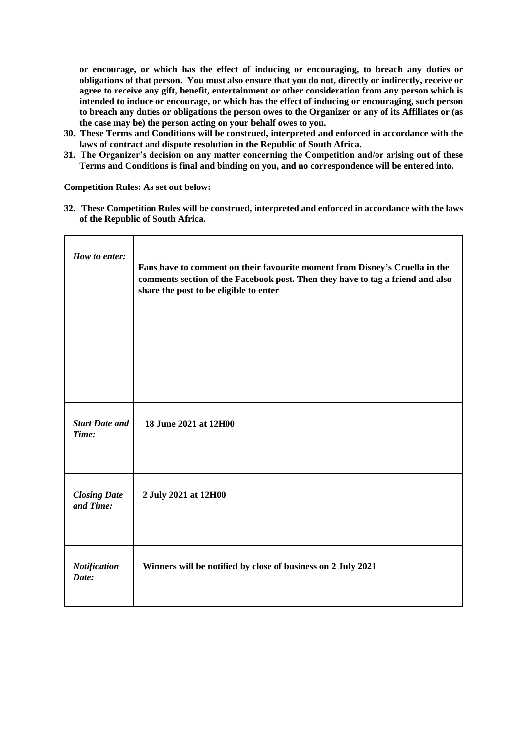**or encourage, or which has the effect of inducing or encouraging, to breach any duties or obligations of that person. You must also ensure that you do not, directly or indirectly, receive or agree to receive any gift, benefit, entertainment or other consideration from any person which is intended to induce or encourage, or which has the effect of inducing or encouraging, such person to breach any duties or obligations the person owes to the Organizer or any of its Affiliates or (as the case may be) the person acting on your behalf owes to you.** 

- **30. These Terms and Conditions will be construed, interpreted and enforced in accordance with the laws of contract and dispute resolution in the Republic of South Africa.**
- **31. The Organizer's decision on any matter concerning the Competition and/or arising out of these Terms and Conditions is final and binding on you, and no correspondence will be entered into.**

**Competition Rules: As set out below:**

**32. These Competition Rules will be construed, interpreted and enforced in accordance with the laws of the Republic of South Africa.**

| How to enter:                    | Fans have to comment on their favourite moment from Disney's Cruella in the<br>comments section of the Facebook post. Then they have to tag a friend and also<br>share the post to be eligible to enter |
|----------------------------------|---------------------------------------------------------------------------------------------------------------------------------------------------------------------------------------------------------|
| <b>Start Date and</b><br>Time:   | 18 June 2021 at 12H00                                                                                                                                                                                   |
| <b>Closing Date</b><br>and Time: | 2 July 2021 at 12H00                                                                                                                                                                                    |
| Notification<br>Date:            | Winners will be notified by close of business on 2 July 2021                                                                                                                                            |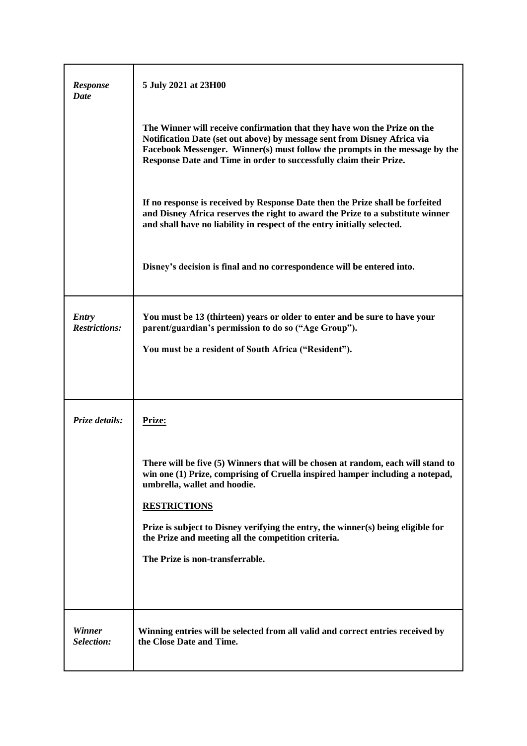| Response<br>Date                     | 5 July 2021 at 23H00                                                                                                                                                                                                                                                                                                                                                                                   |
|--------------------------------------|--------------------------------------------------------------------------------------------------------------------------------------------------------------------------------------------------------------------------------------------------------------------------------------------------------------------------------------------------------------------------------------------------------|
|                                      | The Winner will receive confirmation that they have won the Prize on the<br>Notification Date (set out above) by message sent from Disney Africa via<br>Facebook Messenger. Winner(s) must follow the prompts in the message by the<br>Response Date and Time in order to successfully claim their Prize.                                                                                              |
|                                      | If no response is received by Response Date then the Prize shall be forfeited<br>and Disney Africa reserves the right to award the Prize to a substitute winner<br>and shall have no liability in respect of the entry initially selected.                                                                                                                                                             |
|                                      | Disney's decision is final and no correspondence will be entered into.                                                                                                                                                                                                                                                                                                                                 |
| <b>Entry</b><br><b>Restrictions:</b> | You must be 13 (thirteen) years or older to enter and be sure to have your<br>parent/guardian's permission to do so ("Age Group").<br>You must be a resident of South Africa ("Resident").                                                                                                                                                                                                             |
| Prize details:                       | Prize:                                                                                                                                                                                                                                                                                                                                                                                                 |
|                                      | There will be five (5) Winners that will be chosen at random, each will stand to<br>win one (1) Prize, comprising of Cruella inspired hamper including a notepad,<br>umbrella, wallet and hoodie.<br><b>RESTRICTIONS</b><br>Prize is subject to Disney verifying the entry, the winner(s) being eligible for<br>the Prize and meeting all the competition criteria.<br>The Prize is non-transferrable. |
|                                      |                                                                                                                                                                                                                                                                                                                                                                                                        |
| Winner<br>Selection:                 | Winning entries will be selected from all valid and correct entries received by<br>the Close Date and Time.                                                                                                                                                                                                                                                                                            |